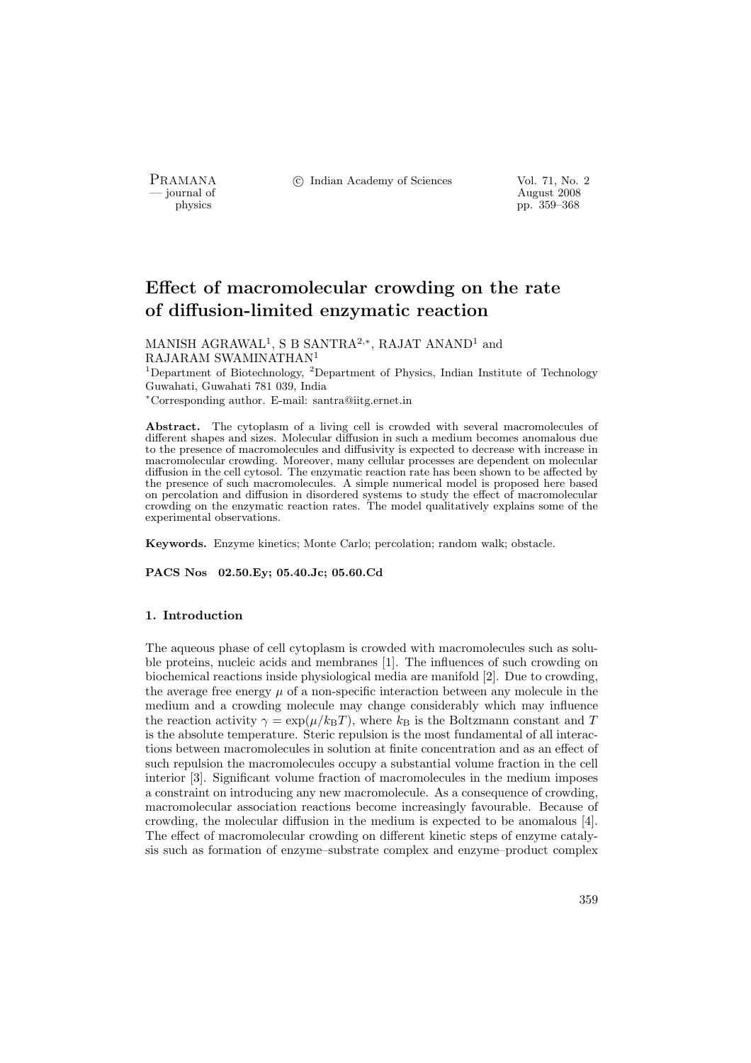PRAMANA °c Indian Academy of Sciences Vol. 71, No. 2

physics and the set of the set of the set of the set of the set of the set of the set of the set of the set of the set of the set of the set of the set of the set of the set of the set of the set of the set of the set of t physics pp. 359–368

# Effect of macromolecular crowding on the rate of diffusion-limited enzymatic reaction

MANISH AGRAWAL<sup>1</sup>, S B SANTRA<sup>2,∗</sup>, RAJAT ANAND<sup>1</sup> and RAJARAM SWAMINATHAN<sup>1</sup> <sup>1</sup>Department of Biotechnology, <sup>2</sup>Department of Physics, Indian Institute of Technology Guwahati, Guwahati 781 039, India

<sup>∗</sup>Corresponding author. E-mail: santra@iitg.ernet.in

Abstract. The cytoplasm of a living cell is crowded with several macromolecules of different shapes and sizes. Molecular diffusion in such a medium becomes anomalous due to the presence of macromolecules and diffusivity is expected to decrease with increase in macromolecular crowding. Moreover, many cellular processes are dependent on molecular diffusion in the cell cytosol. The enzymatic reaction rate has been shown to be affected by the presence of such macromolecules. A simple numerical model is proposed here based on percolation and diffusion in disordered systems to study the effect of macromolecular crowding on the enzymatic reaction rates. The model qualitatively explains some of the experimental observations.

Keywords. Enzyme kinetics; Monte Carlo; percolation; random walk; obstacle.

PACS Nos 02.50.Ey; 05.40.Jc; 05.60.Cd

# 1. Introduction

The aqueous phase of cell cytoplasm is crowded with macromolecules such as soluble proteins, nucleic acids and membranes [1]. The influences of such crowding on biochemical reactions inside physiological media are manifold [2]. Due to crowding, the average free energy  $\mu$  of a non-specific interaction between any molecule in the medium and a crowding molecule may change considerably which may influence the reaction activity  $\gamma = \exp(\mu/k_BT)$ , where  $k_B$  is the Boltzmann constant and T is the absolute temperature. Steric repulsion is the most fundamental of all interactions between macromolecules in solution at finite concentration and as an effect of such repulsion the macromolecules occupy a substantial volume fraction in the cell interior [3]. Significant volume fraction of macromolecules in the medium imposes a constraint on introducing any new macromolecule. As a consequence of crowding, macromolecular association reactions become increasingly favourable. Because of crowding, the molecular diffusion in the medium is expected to be anomalous [4]. The effect of macromolecular crowding on different kinetic steps of enzyme catalysis such as formation of enzyme–substrate complex and enzyme–product complex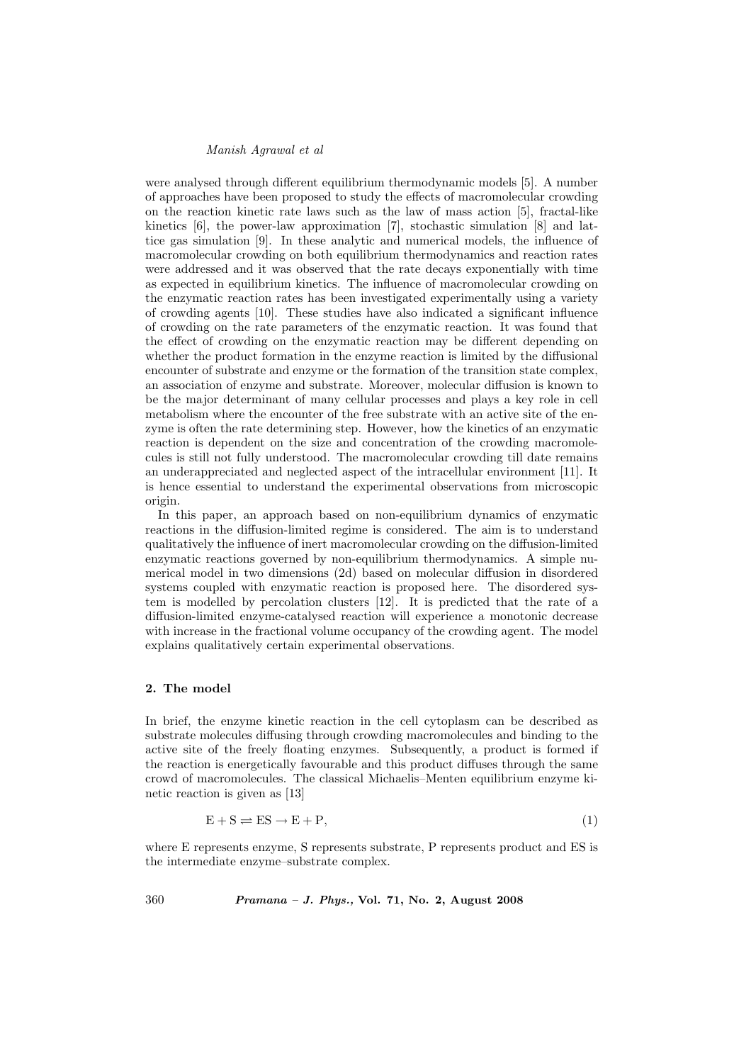were analysed through different equilibrium thermodynamic models [5]. A number of approaches have been proposed to study the effects of macromolecular crowding on the reaction kinetic rate laws such as the law of mass action [5], fractal-like kinetics  $[6]$ , the power-law approximation  $[7]$ , stochastic simulation  $[8]$  and lattice gas simulation [9]. In these analytic and numerical models, the influence of macromolecular crowding on both equilibrium thermodynamics and reaction rates were addressed and it was observed that the rate decays exponentially with time as expected in equilibrium kinetics. The influence of macromolecular crowding on the enzymatic reaction rates has been investigated experimentally using a variety of crowding agents [10]. These studies have also indicated a significant influence of crowding on the rate parameters of the enzymatic reaction. It was found that the effect of crowding on the enzymatic reaction may be different depending on whether the product formation in the enzyme reaction is limited by the diffusional encounter of substrate and enzyme or the formation of the transition state complex, an association of enzyme and substrate. Moreover, molecular diffusion is known to be the major determinant of many cellular processes and plays a key role in cell metabolism where the encounter of the free substrate with an active site of the enzyme is often the rate determining step. However, how the kinetics of an enzymatic reaction is dependent on the size and concentration of the crowding macromolecules is still not fully understood. The macromolecular crowding till date remains an underappreciated and neglected aspect of the intracellular environment [11]. It is hence essential to understand the experimental observations from microscopic origin.

In this paper, an approach based on non-equilibrium dynamics of enzymatic reactions in the diffusion-limited regime is considered. The aim is to understand qualitatively the influence of inert macromolecular crowding on the diffusion-limited enzymatic reactions governed by non-equilibrium thermodynamics. A simple numerical model in two dimensions (2d) based on molecular diffusion in disordered systems coupled with enzymatic reaction is proposed here. The disordered system is modelled by percolation clusters [12]. It is predicted that the rate of a diffusion-limited enzyme-catalysed reaction will experience a monotonic decrease with increase in the fractional volume occupancy of the crowding agent. The model explains qualitatively certain experimental observations.

# 2. The model

In brief, the enzyme kinetic reaction in the cell cytoplasm can be described as substrate molecules diffusing through crowding macromolecules and binding to the active site of the freely floating enzymes. Subsequently, a product is formed if the reaction is energetically favourable and this product diffuses through the same crowd of macromolecules. The classical Michaelis–Menten equilibrium enzyme kinetic reaction is given as [13]

$$
E + S \rightleftharpoons ES \rightarrow E + P,\tag{1}
$$

where E represents enzyme, S represents substrate, P represents product and ES is the intermediate enzyme–substrate complex.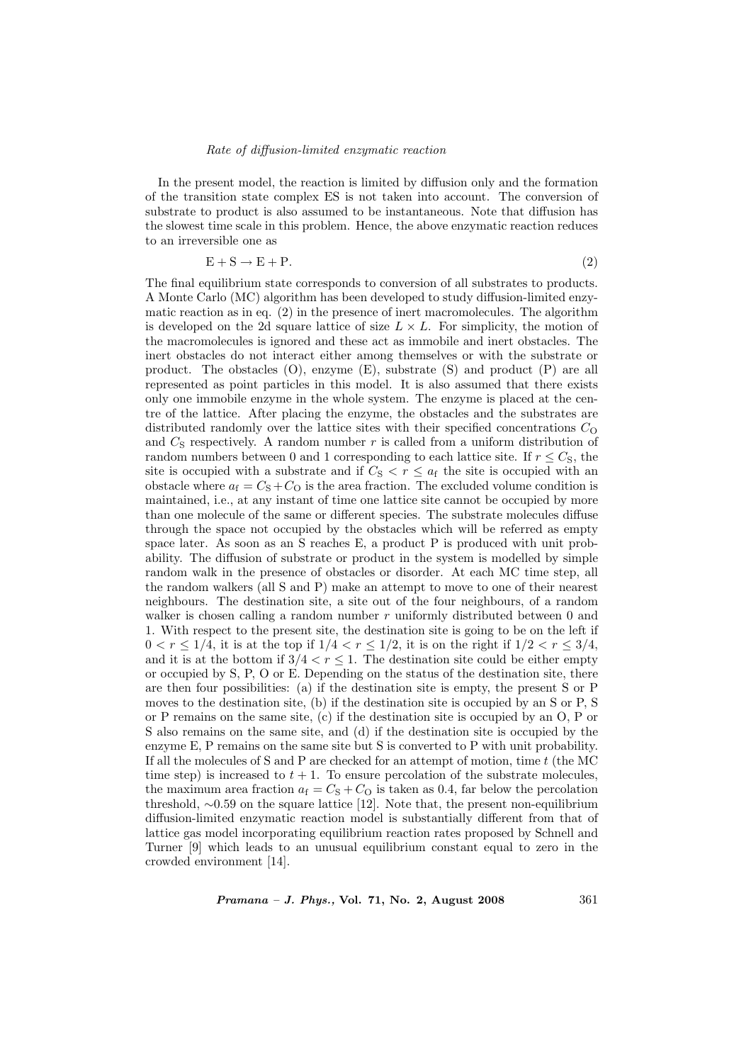#### Rate of diffusion-limited enzymatic reaction

In the present model, the reaction is limited by diffusion only and the formation of the transition state complex ES is not taken into account. The conversion of substrate to product is also assumed to be instantaneous. Note that diffusion has the slowest time scale in this problem. Hence, the above enzymatic reaction reduces to an irreversible one as

$$
E + S \to E + P. \tag{2}
$$

The final equilibrium state corresponds to conversion of all substrates to products. A Monte Carlo (MC) algorithm has been developed to study diffusion-limited enzymatic reaction as in eq. (2) in the presence of inert macromolecules. The algorithm is developed on the 2d square lattice of size  $L \times L$ . For simplicity, the motion of the macromolecules is ignored and these act as immobile and inert obstacles. The inert obstacles do not interact either among themselves or with the substrate or product. The obstacles  $(O)$ , enzyme  $(E)$ , substrate  $(S)$  and product  $(P)$  are all represented as point particles in this model. It is also assumed that there exists only one immobile enzyme in the whole system. The enzyme is placed at the centre of the lattice. After placing the enzyme, the obstacles and the substrates are distributed randomly over the lattice sites with their specified concentrations  $C_{\Omega}$ and  $C_{\rm S}$  respectively. A random number r is called from a uniform distribution of random numbers between 0 and 1 corresponding to each lattice site. If  $r \leq C_S$ , the site is occupied with a substrate and if  $C_{S} < r \leq a_{f}$  the site is occupied with an obstacle where  $a_f = C_S + C_O$  is the area fraction. The excluded volume condition is maintained, i.e., at any instant of time one lattice site cannot be occupied by more than one molecule of the same or different species. The substrate molecules diffuse through the space not occupied by the obstacles which will be referred as empty space later. As soon as an S reaches E, a product P is produced with unit probability. The diffusion of substrate or product in the system is modelled by simple random walk in the presence of obstacles or disorder. At each MC time step, all the random walkers (all S and P) make an attempt to move to one of their nearest neighbours. The destination site, a site out of the four neighbours, of a random walker is chosen calling a random number  $r$  uniformly distributed between  $0$  and 1. With respect to the present site, the destination site is going to be on the left if  $0 < r \leq 1/4$ , it is at the top if  $1/4 < r \leq 1/2$ , it is on the right if  $1/2 < r \leq 3/4$ , and it is at the bottom if  $3/4 < r \leq 1$ . The destination site could be either empty or occupied by S, P, O or E. Depending on the status of the destination site, there are then four possibilities: (a) if the destination site is empty, the present S or P moves to the destination site, (b) if the destination site is occupied by an S or P, S or P remains on the same site, (c) if the destination site is occupied by an O, P or S also remains on the same site, and (d) if the destination site is occupied by the enzyme E, P remains on the same site but S is converted to P with unit probability. If all the molecules of S and P are checked for an attempt of motion, time  $t$  (the MC time step) is increased to  $t + 1$ . To ensure percolation of the substrate molecules, the maximum area fraction  $a_f = C_S + C_O$  is taken as 0.4, far below the percolation threshold, ∼0.59 on the square lattice [12]. Note that, the present non-equilibrium diffusion-limited enzymatic reaction model is substantially different from that of lattice gas model incorporating equilibrium reaction rates proposed by Schnell and Turner [9] which leads to an unusual equilibrium constant equal to zero in the crowded environment [14].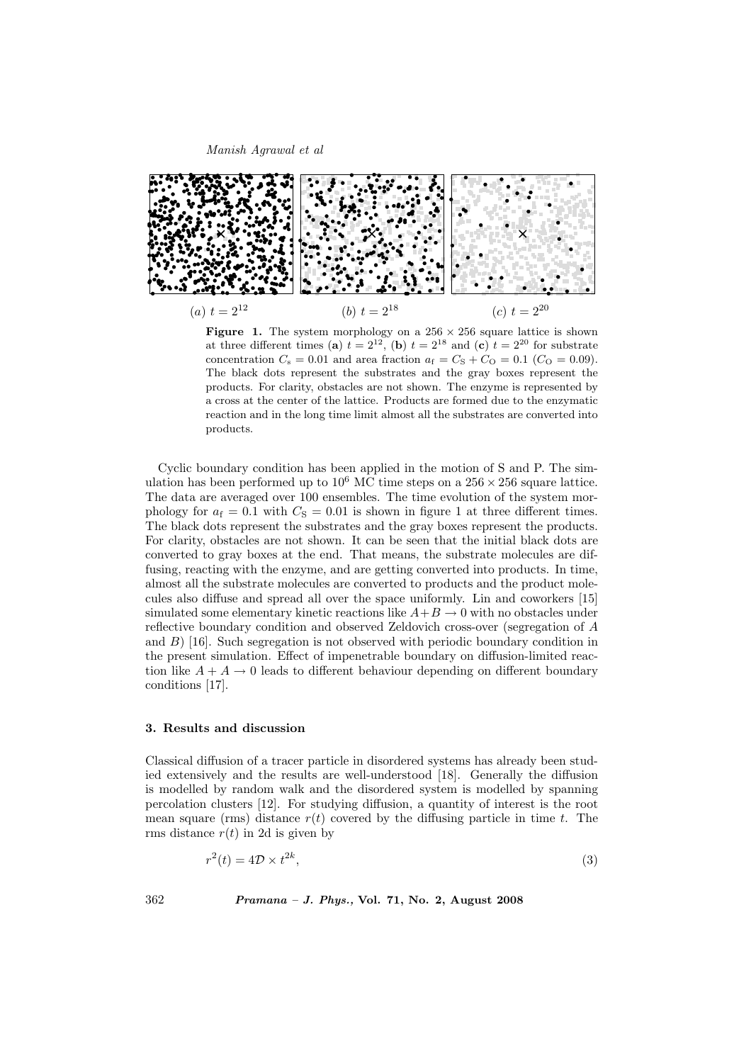

Figure 1. The system morphology on a  $256 \times 256$  square lattice is shown at three different times (a)  $t = 2^{12}$ , (b)  $t = 2^{18}$  and (c)  $t = 2^{20}$  for substrate concentration  $C_s = 0.01$  and area fraction  $a_f = C_s + C_o = 0.1$  ( $C_o = 0.09$ ). The black dots represent the substrates and the gray boxes represent the products. For clarity, obstacles are not shown. The enzyme is represented by a cross at the center of the lattice. Products are formed due to the enzymatic reaction and in the long time limit almost all the substrates are converted into products.

Cyclic boundary condition has been applied in the motion of S and P. The simulation has been performed up to  $10^6$  MC time steps on a  $256 \times 256$  square lattice. The data are averaged over 100 ensembles. The time evolution of the system morphology for  $a_f = 0.1$  with  $C_s = 0.01$  is shown in figure 1 at three different times. The black dots represent the substrates and the gray boxes represent the products. For clarity, obstacles are not shown. It can be seen that the initial black dots are converted to gray boxes at the end. That means, the substrate molecules are diffusing, reacting with the enzyme, and are getting converted into products. In time, almost all the substrate molecules are converted to products and the product molecules also diffuse and spread all over the space uniformly. Lin and coworkers [15] simulated some elementary kinetic reactions like  $A+B\to 0$  with no obstacles under reflective boundary condition and observed Zeldovich cross-over (segregation of A and  $B$ ) [16]. Such segregation is not observed with periodic boundary condition in the present simulation. Effect of impenetrable boundary on diffusion-limited reaction like  $A + A \rightarrow 0$  leads to different behaviour depending on different boundary conditions [17].

# 3. Results and discussion

Classical diffusion of a tracer particle in disordered systems has already been studied extensively and the results are well-understood [18]. Generally the diffusion is modelled by random walk and the disordered system is modelled by spanning percolation clusters [12]. For studying diffusion, a quantity of interest is the root mean square (rms) distance  $r(t)$  covered by the diffusing particle in time t. The rms distance  $r(t)$  in 2d is given by

$$
r^2(t) = 4\mathcal{D} \times t^{2k},\tag{3}
$$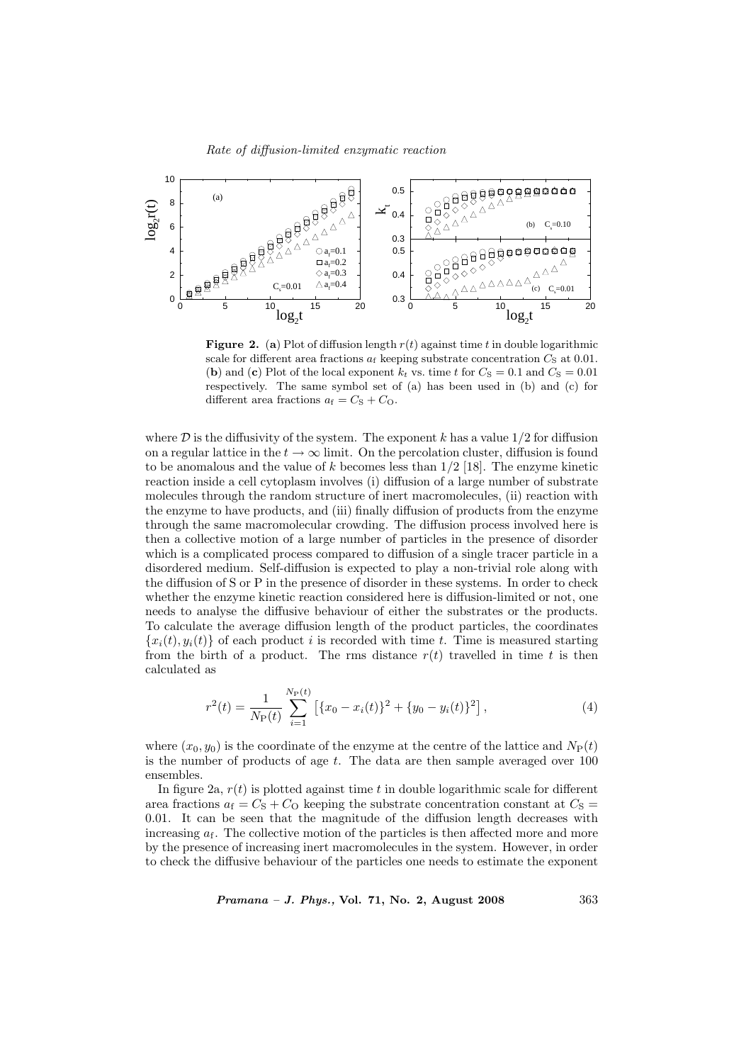

**Figure 2.** (a) Plot of diffusion length  $r(t)$  against time t in double logarithmic scale for different area fractions  $a_f$  keeping substrate concentration  $C_S$  at 0.01. (b) and (c) Plot of the local exponent  $k_t$  vs. time t for  $C_s = 0.1$  and  $C_s = 0.01$ respectively. The same symbol set of (a) has been used in (b) and (c) for different area fractions  $a_f = C_S + C_O$ .

where  $\mathcal D$  is the diffusivity of the system. The exponent k has a value  $1/2$  for diffusion on a regular lattice in the  $t \to \infty$  limit. On the percolation cluster, diffusion is found to be anomalous and the value of k becomes less than  $1/2$  [18]. The enzyme kinetic reaction inside a cell cytoplasm involves (i) diffusion of a large number of substrate molecules through the random structure of inert macromolecules, (ii) reaction with the enzyme to have products, and (iii) finally diffusion of products from the enzyme through the same macromolecular crowding. The diffusion process involved here is then a collective motion of a large number of particles in the presence of disorder which is a complicated process compared to diffusion of a single tracer particle in a disordered medium. Self-diffusion is expected to play a non-trivial role along with the diffusion of S or P in the presence of disorder in these systems. In order to check whether the enzyme kinetic reaction considered here is diffusion-limited or not, one needs to analyse the diffusive behaviour of either the substrates or the products. To calculate the average diffusion length of the product particles, the coordinates  ${x_i(t), y_i(t)}$  of each product i is recorded with time t. Time is measured starting from the birth of a product. The rms distance  $r(t)$  travelled in time t is then calculated as

$$
r^{2}(t) = \frac{1}{N_{\rm P}(t)} \sum_{i=1}^{N_{\rm P}(t)} \left[ \{x_{0} - x_{i}(t)\}^{2} + \{y_{0} - y_{i}(t)\}^{2} \right],
$$
\n(4)

where  $(x_0, y_0)$  is the coordinate of the enzyme at the centre of the lattice and  $N_{\rm P}(t)$ is the number of products of age t. The data are then sample averaged over 100 ensembles.

In figure 2a,  $r(t)$  is plotted against time t in double logarithmic scale for different area fractions  $a_f = C_S + C_O$  keeping the substrate concentration constant at  $C_S$  = 0.01. It can be seen that the magnitude of the diffusion length decreases with increasing  $a_f$ . The collective motion of the particles is then affected more and more by the presence of increasing inert macromolecules in the system. However, in order to check the diffusive behaviour of the particles one needs to estimate the exponent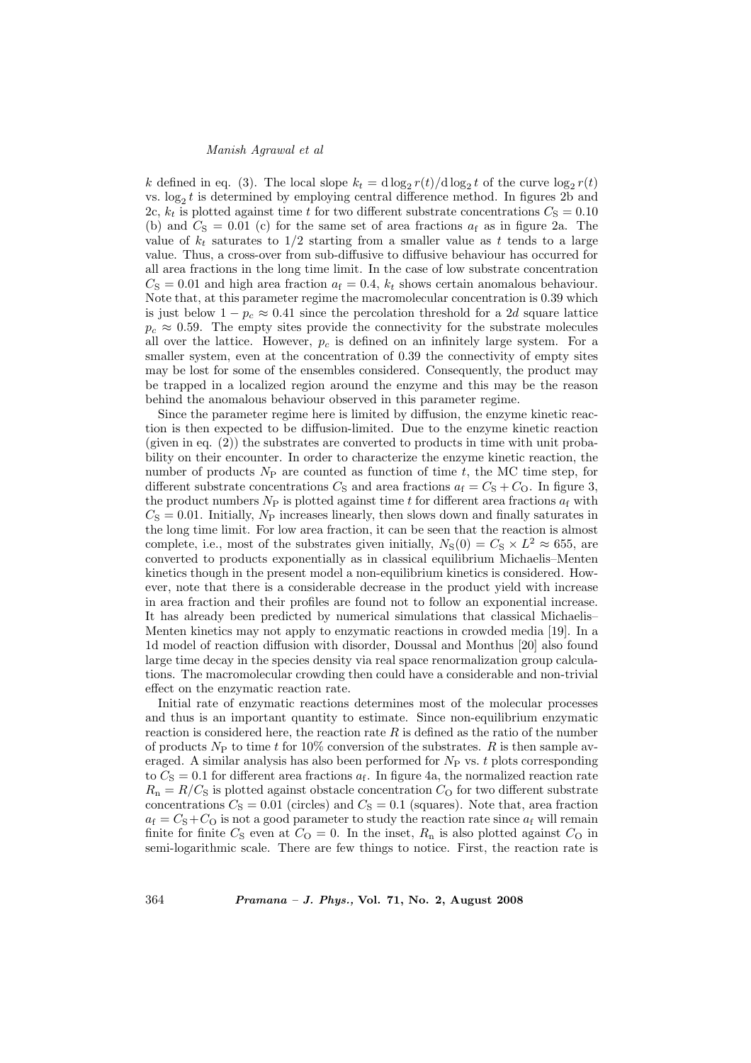k defined in eq. (3). The local slope  $k_t = d \log_2 r(t) / d \log_2 t$  of the curve  $\log_2 r(t)$ vs.  $log_2 t$  is determined by employing central difference method. In figures 2b and 2c,  $k_t$  is plotted against time t for two different substrate concentrations  $C_s = 0.10$ (b) and  $C_{\rm S} = 0.01$  (c) for the same set of area fractions  $a_{\rm f}$  as in figure 2a. The value of  $k_t$  saturates to  $1/2$  starting from a smaller value as t tends to a large value. Thus, a cross-over from sub-diffusive to diffusive behaviour has occurred for all area fractions in the long time limit. In the case of low substrate concentration  $C<sub>S</sub> = 0.01$  and high area fraction  $a<sub>f</sub> = 0.4$ ,  $k<sub>t</sub>$  shows certain anomalous behaviour. Note that, at this parameter regime the macromolecular concentration is 0.39 which is just below  $1 - p_c \approx 0.41$  since the percolation threshold for a 2d square lattice  $p_c \approx 0.59$ . The empty sites provide the connectivity for the substrate molecules all over the lattice. However,  $p_c$  is defined on an infinitely large system. For a smaller system, even at the concentration of 0.39 the connectivity of empty sites may be lost for some of the ensembles considered. Consequently, the product may be trapped in a localized region around the enzyme and this may be the reason behind the anomalous behaviour observed in this parameter regime.

Since the parameter regime here is limited by diffusion, the enzyme kinetic reaction is then expected to be diffusion-limited. Due to the enzyme kinetic reaction (given in eq. (2)) the substrates are converted to products in time with unit probability on their encounter. In order to characterize the enzyme kinetic reaction, the number of products  $N_P$  are counted as function of time t, the MC time step, for different substrate concentrations  $C_S$  and area fractions  $a_f = C_S + C_O$ . In figure 3, the product numbers  $N_P$  is plotted against time t for different area fractions  $a_f$  with  $C<sub>S</sub> = 0.01$ . Initially,  $N<sub>P</sub>$  increases linearly, then slows down and finally saturates in the long time limit. For low area fraction, it can be seen that the reaction is almost complete, i.e., most of the substrates given initially,  $N_S(0) = C_S \times L^2 \approx 655$ , are converted to products exponentially as in classical equilibrium Michaelis–Menten kinetics though in the present model a non-equilibrium kinetics is considered. However, note that there is a considerable decrease in the product yield with increase in area fraction and their profiles are found not to follow an exponential increase. It has already been predicted by numerical simulations that classical Michaelis– Menten kinetics may not apply to enzymatic reactions in crowded media [19]. In a 1d model of reaction diffusion with disorder, Doussal and Monthus [20] also found large time decay in the species density via real space renormalization group calculations. The macromolecular crowding then could have a considerable and non-trivial effect on the enzymatic reaction rate.

Initial rate of enzymatic reactions determines most of the molecular processes and thus is an important quantity to estimate. Since non-equilibrium enzymatic reaction is considered here, the reaction rate  $R$  is defined as the ratio of the number of products  $N_P$  to time t for 10% conversion of the substrates. R is then sample averaged. A similar analysis has also been performed for  $N_{\rm P}$  vs. t plots corresponding to  $C_{\rm S} = 0.1$  for different area fractions  $a_{\rm f}$ . In figure 4a, the normalized reaction rate  $R_n = R/C_S$  is plotted against obstacle concentration  $C_O$  for two different substrate concentrations  $C_{\rm S} = 0.01$  (circles) and  $C_{\rm S} = 0.1$  (squares). Note that, area fraction  $a_f = C_S + C_O$  is not a good parameter to study the reaction rate since  $a_f$  will remain finite for finite  $C_S$  even at  $C_Q = 0$ . In the inset,  $R_n$  is also plotted against  $C_Q$  in semi-logarithmic scale. There are few things to notice. First, the reaction rate is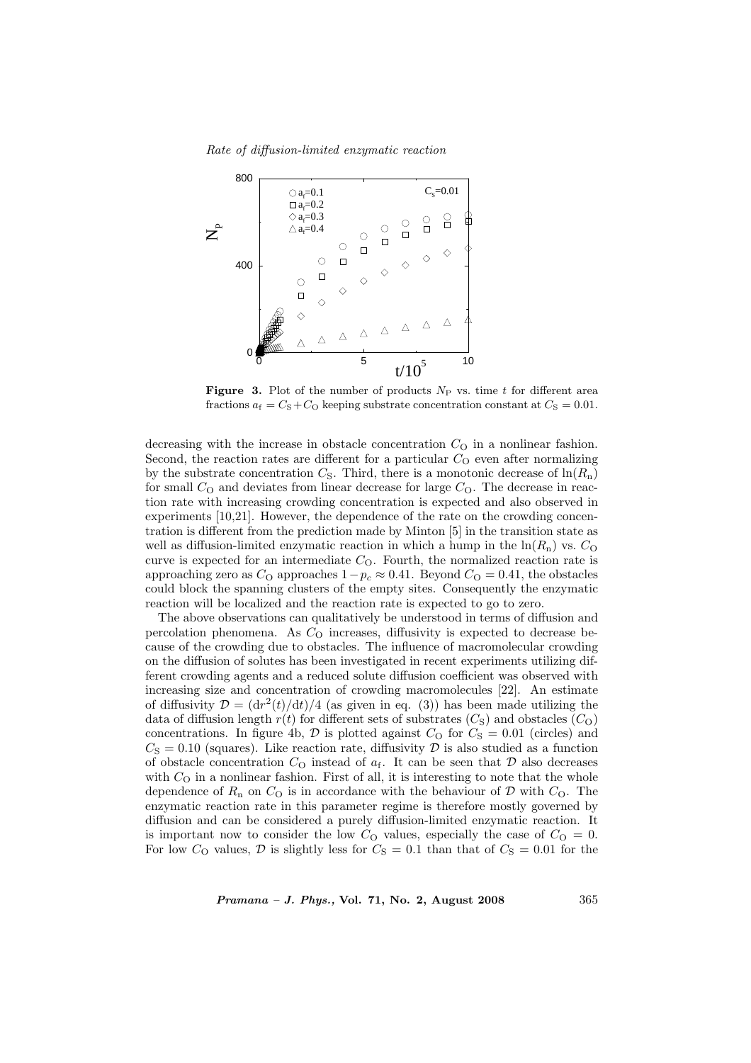Rate of diffusion-limited enzymatic reaction



Figure 3. Plot of the number of products  $N_P$  vs. time t for different area fractions  $a_f = C_S + C_O$  keeping substrate concentration constant at  $C_S = 0.01$ .

decreasing with the increase in obstacle concentration  $C_{\text{O}}$  in a nonlinear fashion. Second, the reaction rates are different for a particular  $C<sub>O</sub>$  even after normalizing by the substrate concentration  $C_S$ . Third, there is a monotonic decrease of  $\ln(R_n)$ for small  $C<sub>O</sub>$  and deviates from linear decrease for large  $C<sub>O</sub>$ . The decrease in reaction rate with increasing crowding concentration is expected and also observed in experiments [10,21]. However, the dependence of the rate on the crowding concentration is different from the prediction made by Minton [5] in the transition state as well as diffusion-limited enzymatic reaction in which a hump in the  $ln(R_n)$  vs.  $C_O$ curve is expected for an intermediate  $C<sub>O</sub>$ . Fourth, the normalized reaction rate is approaching zero as  $C_{\text{O}}$  approaches  $1-p_c \approx 0.41$ . Beyond  $C_{\text{O}} = 0.41$ , the obstacles could block the spanning clusters of the empty sites. Consequently the enzymatic reaction will be localized and the reaction rate is expected to go to zero.

The above observations can qualitatively be understood in terms of diffusion and percolation phenomena. As  $C<sub>O</sub>$  increases, diffusivity is expected to decrease because of the crowding due to obstacles. The influence of macromolecular crowding on the diffusion of solutes has been investigated in recent experiments utilizing different crowding agents and a reduced solute diffusion coefficient was observed with increasing size and concentration of crowding macromolecules [22]. An estimate of diffusivity  $\mathcal{D} = (\text{d}r^2(t)/\text{d}t)/4$  (as given in eq. (3)) has been made utilizing the data of diffusion length  $r(t)$  for different sets of substrates  $(C_S)$  and obstacles  $(C_O)$ concentrations. In figure 4b,  $\mathcal{D}$  is plotted against  $C_{\text{O}}$  for  $C_{\text{S}} = 0.01$  (circles) and  $C_{\rm S} = 0.10$  (squares). Like reaction rate, diffusivity D is also studied as a function of obstacle concentration  $C_{\text{O}}$  instead of  $a_{\text{f}}$ . It can be seen that  $\mathcal D$  also decreases with  $C<sub>O</sub>$  in a nonlinear fashion. First of all, it is interesting to note that the whole dependence of  $R_n$  on  $C_0$  is in accordance with the behaviour of  $D$  with  $C_0$ . The enzymatic reaction rate in this parameter regime is therefore mostly governed by diffusion and can be considered a purely diffusion-limited enzymatic reaction. It is important now to consider the low  $C_{\text{O}}$  values, especially the case of  $C_{\text{O}} = 0$ . For low  $C_{\text{O}}$  values,  $\mathcal{D}$  is slightly less for  $C_{\text{S}} = 0.1$  than that of  $C_{\text{S}} = 0.01$  for the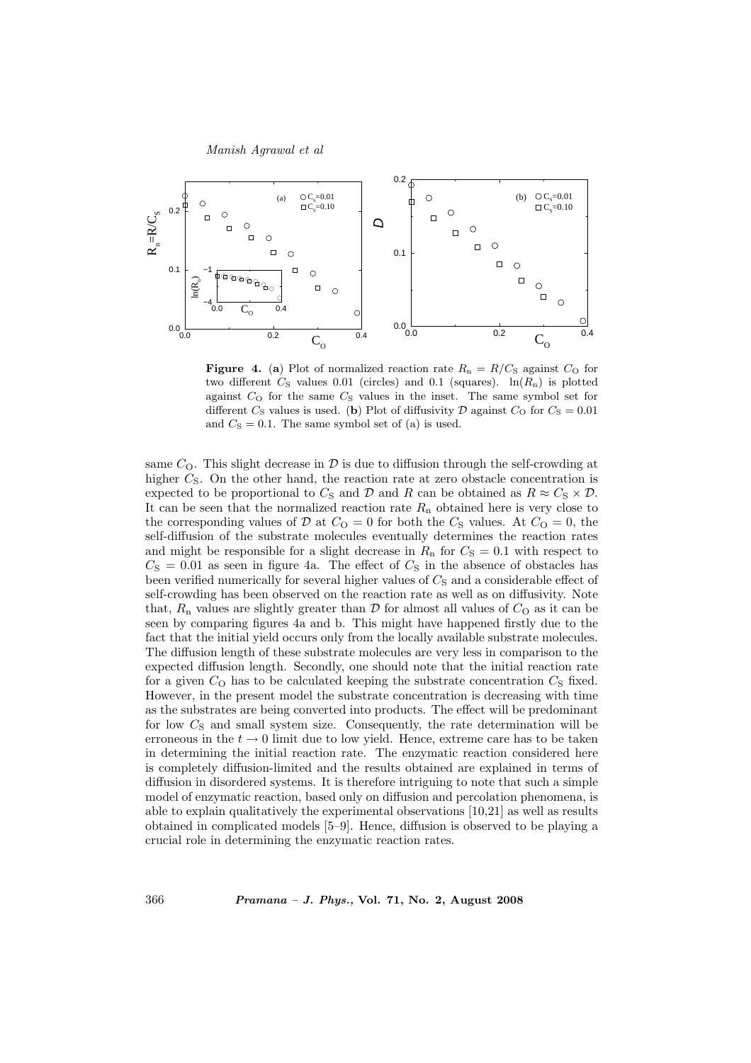

**Figure 4.** (a) Plot of normalized reaction rate  $R_n = R/C_S$  against  $C_O$  for two different  $C_{\rm S}$  values 0.01 (circles) and 0.1 (squares).  $\ln(R_{\rm n})$  is plotted against  $C<sub>O</sub>$  for the same  $C<sub>S</sub>$  values in the inset. The same symbol set for different  $C_{\rm S}$  values is used. (b) Plot of diffusivity D against  $C_{\rm O}$  for  $C_{\rm S} = 0.01$ and  $C_{\rm S} = 0.1$ . The same symbol set of (a) is used.

same  $C<sub>O</sub>$ . This slight decrease in  $D$  is due to diffusion through the self-crowding at higher  $C_S$ . On the other hand, the reaction rate at zero obstacle concentration is expected to be proportional to  $C_S$  and D and R can be obtained as  $R \approx C_S \times D$ . It can be seen that the normalized reaction rate  $R_n$  obtained here is very close to the corresponding values of  $\mathcal D$  at  $C_{\mathcal O}=0$  for both the  $C_{\mathcal S}$  values. At  $C_{\mathcal O}=0$ , the self-diffusion of the substrate molecules eventually determines the reaction rates and might be responsible for a slight decrease in  $R_n$  for  $C_S = 0.1$  with respect to  $C<sub>S</sub> = 0.01$  as seen in figure 4a. The effect of  $C<sub>S</sub>$  in the absence of obstacles has been verified numerically for several higher values of  $C_{\rm S}$  and a considerable effect of self-crowding has been observed on the reaction rate as well as on diffusivity. Note that,  $R_n$  values are slightly greater than D for almost all values of  $C_0$  as it can be seen by comparing figures 4a and b. This might have happened firstly due to the fact that the initial yield occurs only from the locally available substrate molecules. The diffusion length of these substrate molecules are very less in comparison to the expected diffusion length. Secondly, one should note that the initial reaction rate for a given  $C<sub>O</sub>$  has to be calculated keeping the substrate concentration  $C<sub>S</sub>$  fixed. However, in the present model the substrate concentration is decreasing with time as the substrates are being converted into products. The effect will be predominant for low  $C_S$  and small system size. Consequently, the rate determination will be erroneous in the  $t \to 0$  limit due to low yield. Hence, extreme care has to be taken in determining the initial reaction rate. The enzymatic reaction considered here is completely diffusion-limited and the results obtained are explained in terms of diffusion in disordered systems. It is therefore intriguing to note that such a simple model of enzymatic reaction, based only on diffusion and percolation phenomena, is able to explain qualitatively the experimental observations [10,21] as well as results obtained in complicated models [5–9]. Hence, diffusion is observed to be playing a crucial role in determining the enzymatic reaction rates.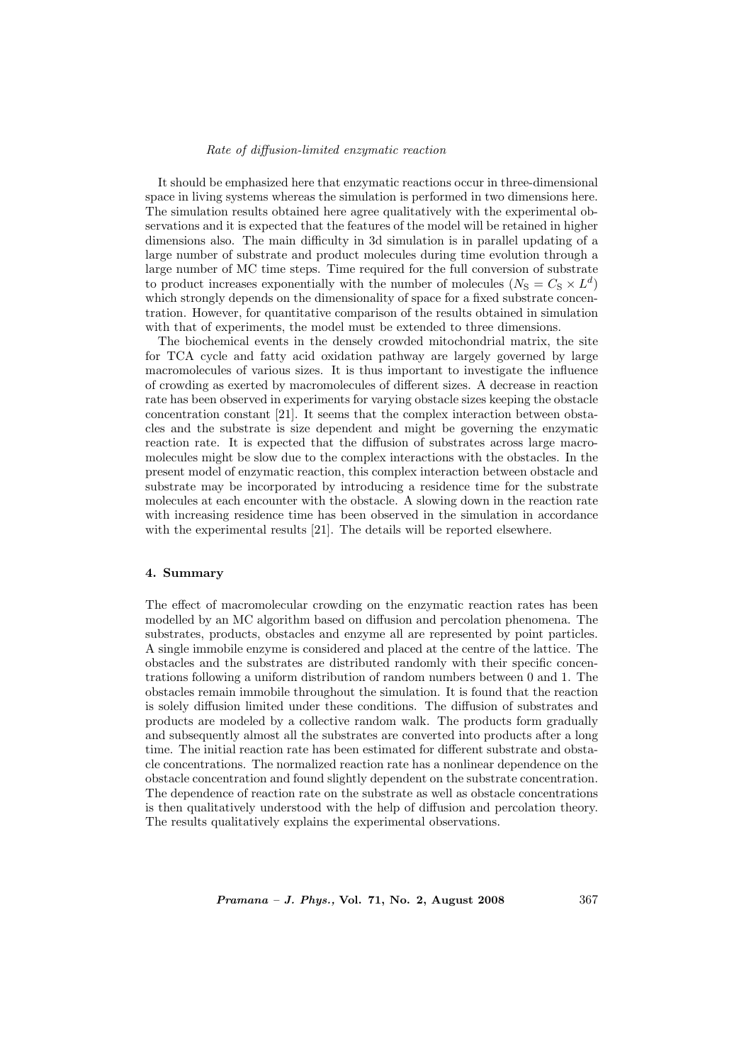#### Rate of diffusion-limited enzymatic reaction

It should be emphasized here that enzymatic reactions occur in three-dimensional space in living systems whereas the simulation is performed in two dimensions here. The simulation results obtained here agree qualitatively with the experimental observations and it is expected that the features of the model will be retained in higher dimensions also. The main difficulty in 3d simulation is in parallel updating of a large number of substrate and product molecules during time evolution through a large number of MC time steps. Time required for the full conversion of substrate to product increases exponentially with the number of molecules  $(N_S = C_S \times L^d)$ which strongly depends on the dimensionality of space for a fixed substrate concentration. However, for quantitative comparison of the results obtained in simulation with that of experiments, the model must be extended to three dimensions.

The biochemical events in the densely crowded mitochondrial matrix, the site for TCA cycle and fatty acid oxidation pathway are largely governed by large macromolecules of various sizes. It is thus important to investigate the influence of crowding as exerted by macromolecules of different sizes. A decrease in reaction rate has been observed in experiments for varying obstacle sizes keeping the obstacle concentration constant [21]. It seems that the complex interaction between obstacles and the substrate is size dependent and might be governing the enzymatic reaction rate. It is expected that the diffusion of substrates across large macromolecules might be slow due to the complex interactions with the obstacles. In the present model of enzymatic reaction, this complex interaction between obstacle and substrate may be incorporated by introducing a residence time for the substrate molecules at each encounter with the obstacle. A slowing down in the reaction rate with increasing residence time has been observed in the simulation in accordance with the experimental results [21]. The details will be reported elsewhere.

# 4. Summary

The effect of macromolecular crowding on the enzymatic reaction rates has been modelled by an MC algorithm based on diffusion and percolation phenomena. The substrates, products, obstacles and enzyme all are represented by point particles. A single immobile enzyme is considered and placed at the centre of the lattice. The obstacles and the substrates are distributed randomly with their specific concentrations following a uniform distribution of random numbers between 0 and 1. The obstacles remain immobile throughout the simulation. It is found that the reaction is solely diffusion limited under these conditions. The diffusion of substrates and products are modeled by a collective random walk. The products form gradually and subsequently almost all the substrates are converted into products after a long time. The initial reaction rate has been estimated for different substrate and obstacle concentrations. The normalized reaction rate has a nonlinear dependence on the obstacle concentration and found slightly dependent on the substrate concentration. The dependence of reaction rate on the substrate as well as obstacle concentrations is then qualitatively understood with the help of diffusion and percolation theory. The results qualitatively explains the experimental observations.